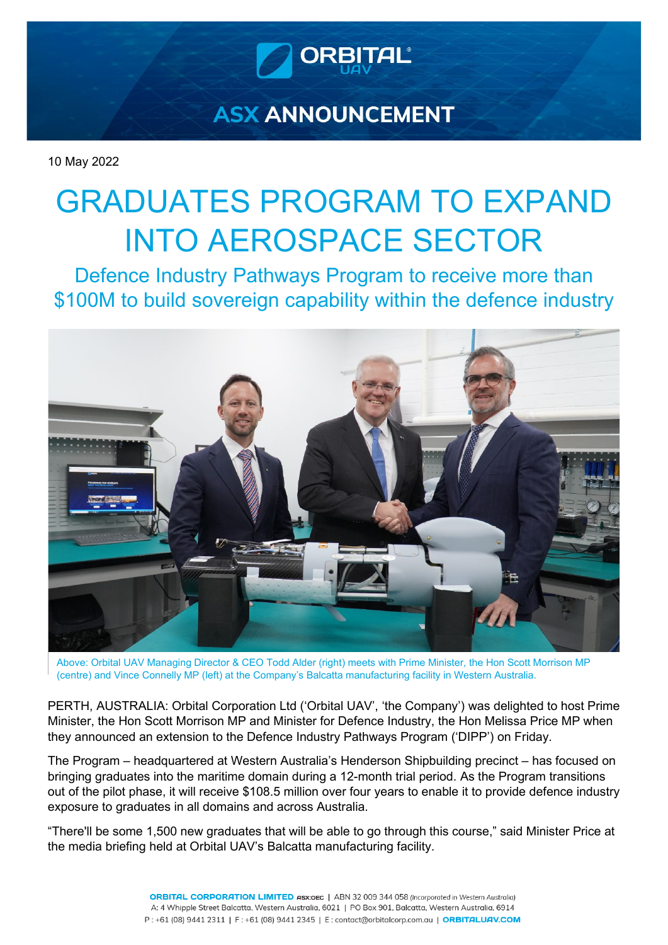

# **ASX ANNOUNCEMENT**

10 May 2022

# GRADUATES PROGRAM TO EXPAND INTO AEROSPACE SECTOR

Defence Industry Pathways Program to receive more than \$100M to build sovereign capability within the defence industry



Above: Orbital UAV Managing Director & CEO Todd Alder (right) meets with Prime Minister, the Hon Scott Morrison MP (centre) and Vince Connelly MP (left) at the Company's Balcatta manufacturing facility in Western Australia.

PERTH, AUSTRALIA: Orbital Corporation Ltd ('Orbital UAV', 'the Company') was delighted to host Prime Minister, the Hon Scott Morrison MP and Minister for Defence Industry, the Hon Melissa Price MP when they announced an extension to the Defence Industry Pathways Program ('DIPP') on Friday.

The Program – headquartered at Western Australia's Henderson Shipbuilding precinct – has focused on bringing graduates into the maritime domain during a 12-month trial period. As the Program transitions out of the pilot phase, it will receive \$108.5 million over four years to enable it to provide defence industry exposure to graduates in all domains and across Australia.

"There'll be some 1,500 new graduates that will be able to go through this course," said Minister Price at the media briefing held at Orbital UAV's Balcatta manufacturing facility.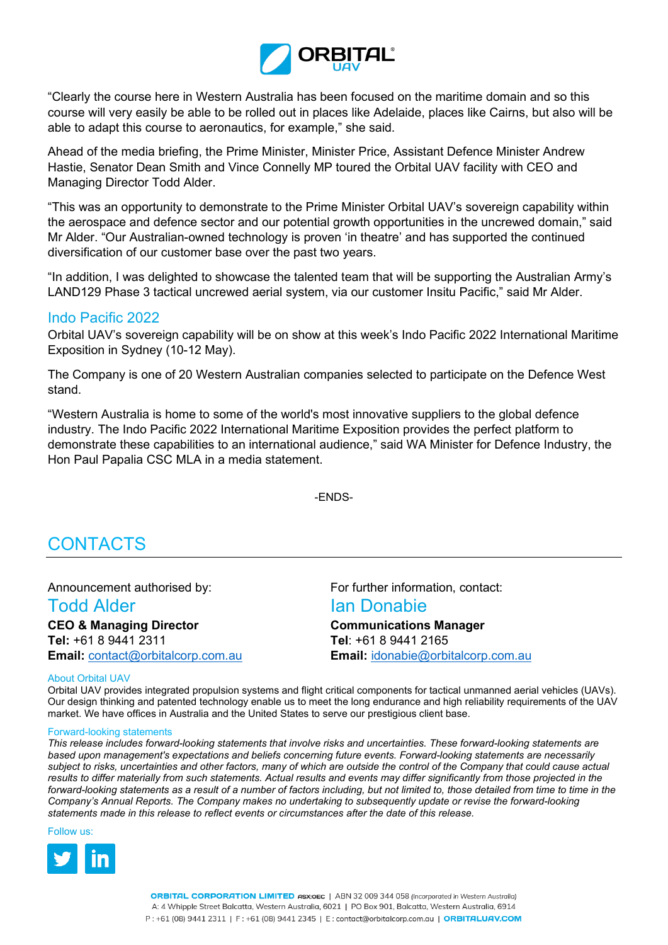

"Clearly the course here in Western Australia has been focused on the maritime domain and so this course will very easily be able to be rolled out in places like Adelaide, places like Cairns, but also will be able to adapt this course to aeronautics, for example," she said.

Ahead of the media briefing, the Prime Minister, Minister Price, Assistant Defence Minister Andrew Hastie, Senator Dean Smith and Vince Connelly MP toured the Orbital UAV facility with CEO and Managing Director Todd Alder.

"This was an opportunity to demonstrate to the Prime Minister Orbital UAV's sovereign capability within the aerospace and defence sector and our potential growth opportunities in the uncrewed domain," said Mr Alder. "Our Australian-owned technology is proven 'in theatre' and has supported the continued diversification of our customer base over the past two years.

"In addition, I was delighted to showcase the talented team that will be supporting the Australian Army's LAND129 Phase 3 tactical uncrewed aerial system, via our customer Insitu Pacific," said Mr Alder.

## Indo Pacific 2022

Orbital UAV's sovereign capability will be on show at this week's Indo Pacific 2022 International Maritime Exposition in Sydney (10-12 May).

The Company is one of 20 Western Australian companies selected to participate on the Defence West stand.

"Western Australia is home to some of the world's most innovative suppliers to the global defence industry. The Indo Pacific 2022 International Maritime Exposition provides the perfect platform to demonstrate these capabilities to an international audience," said WA Minister for Defence Industry, the Hon Paul Papalia CSC MLA in a media statement.

-ENDS-

# CONTACTS

**CEO & Managing Director Communications Manager Tel:** +61 8 9441 2311 **Tel**: +61 8 9441 2165 **Email:** [contact@orbitalcorp.com.au](mailto:contact@orbitalcorp.com.au) **Email:** [idonabie@orbitalcorp.com.au](mailto:idonabie@orbitalcorp.com.au)

Announcement authorised by: For further information, contact:

# Todd Alder **Ian Donabie**

### About Orbital UAV

Orbital UAV provides integrated propulsion systems and flight critical components for tactical unmanned aerial vehicles (UAVs). Our design thinking and patented technology enable us to meet the long endurance and high reliability requirements of the UAV market. We have offices in Australia and the United States to serve our prestigious client base.

### Forward-looking statements

*This release includes forward-looking statements that involve risks and uncertainties. These forward-looking statements are based upon management's expectations and beliefs concerning future events. Forward-looking statements are necessarily subject to risks, uncertainties and other factors, many of which are outside the control of the Company that could cause actual results to differ materially from such statements. Actual results and events may differ significantly from those projected in the forward-looking statements as a result of a number of factors including, but not limited to, those detailed from time to time in the Company's Annual Reports. The Company makes no undertaking to subsequently update or revise the forward-looking statements made in this release to reflect events or circumstances after the date of this release.*

Follow us: